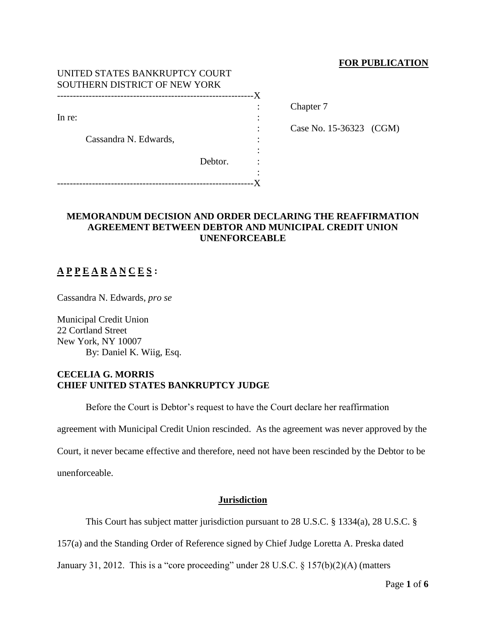### **FOR PUBLICATION**

| UNITED STATES BANKRUPTCY COURT<br>SOUTHERN DISTRICT OF NEW YORK |         |    |                         |  |
|-----------------------------------------------------------------|---------|----|-------------------------|--|
|                                                                 |         | -X |                         |  |
| In re:                                                          |         |    | Chapter 7               |  |
|                                                                 |         |    |                         |  |
|                                                                 |         |    | Case No. 15-36323 (CGM) |  |
| Cassandra N. Edwards,                                           |         | ٠  |                         |  |
|                                                                 |         |    |                         |  |
|                                                                 | Debtor. |    |                         |  |
|                                                                 |         |    |                         |  |
|                                                                 |         |    |                         |  |

## **MEMORANDUM DECISION AND ORDER DECLARING THE REAFFIRMATION AGREEMENT BETWEEN DEBTOR AND MUNICIPAL CREDIT UNION UNENFORCEABLE**

# **A P P E A R A N C E S :**

Cassandra N. Edwards, *pro se*

Municipal Credit Union 22 Cortland Street New York, NY 10007 By: Daniel K. Wiig, Esq.

### **CECELIA G. MORRIS CHIEF UNITED STATES BANKRUPTCY JUDGE**

Before the Court is Debtor's request to have the Court declare her reaffirmation

agreement with Municipal Credit Union rescinded. As the agreement was never approved by the

Court, it never became effective and therefore, need not have been rescinded by the Debtor to be

unenforceable.

### **Jurisdiction**

This Court has subject matter jurisdiction pursuant to 28 U.S.C. § 1334(a), 28 U.S.C. §

157(a) and the Standing Order of Reference signed by Chief Judge Loretta A. Preska dated

January 31, 2012. This is a "core proceeding" under 28 U.S.C. § 157(b)(2)(A) (matters

Page **1** of **6**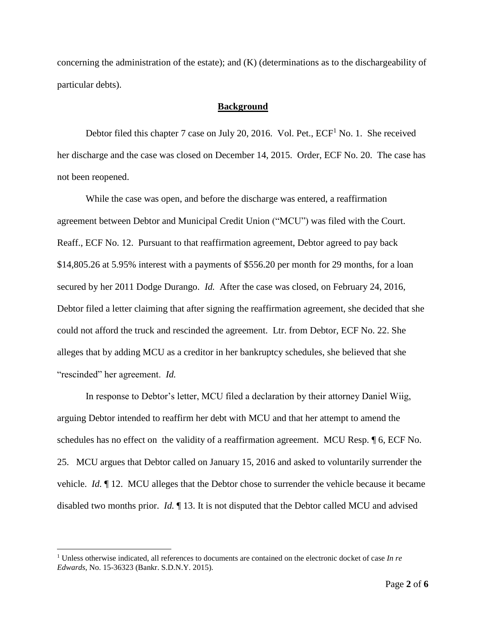concerning the administration of the estate); and (K) (determinations as to the dischargeability of particular debts).

### **Background**

Debtor filed this chapter 7 case on July 20, 2016. Vol. Pet.,  $ECF<sup>1</sup>$  No. 1. She received her discharge and the case was closed on December 14, 2015. Order, ECF No. 20. The case has not been reopened.

While the case was open, and before the discharge was entered, a reaffirmation agreement between Debtor and Municipal Credit Union ("MCU") was filed with the Court. Reaff., ECF No. 12. Pursuant to that reaffirmation agreement, Debtor agreed to pay back \$14,805.26 at 5.95% interest with a payments of \$556.20 per month for 29 months, for a loan secured by her 2011 Dodge Durango. *Id.* After the case was closed, on February 24, 2016, Debtor filed a letter claiming that after signing the reaffirmation agreement, she decided that she could not afford the truck and rescinded the agreement. Ltr. from Debtor, ECF No. 22. She alleges that by adding MCU as a creditor in her bankruptcy schedules, she believed that she "rescinded" her agreement. *Id.*

In response to Debtor's letter, MCU filed a declaration by their attorney Daniel Wiig, arguing Debtor intended to reaffirm her debt with MCU and that her attempt to amend the schedules has no effect on the validity of a reaffirmation agreement. MCU Resp. ¶ 6, ECF No. 25. MCU argues that Debtor called on January 15, 2016 and asked to voluntarily surrender the vehicle. *Id.* ¶ 12. MCU alleges that the Debtor chose to surrender the vehicle because it became disabled two months prior. *Id.* ¶ 13. It is not disputed that the Debtor called MCU and advised

 $\overline{a}$ 

<sup>1</sup> Unless otherwise indicated, all references to documents are contained on the electronic docket of case *In re Edwards*, No. 15-36323 (Bankr. S.D.N.Y. 2015).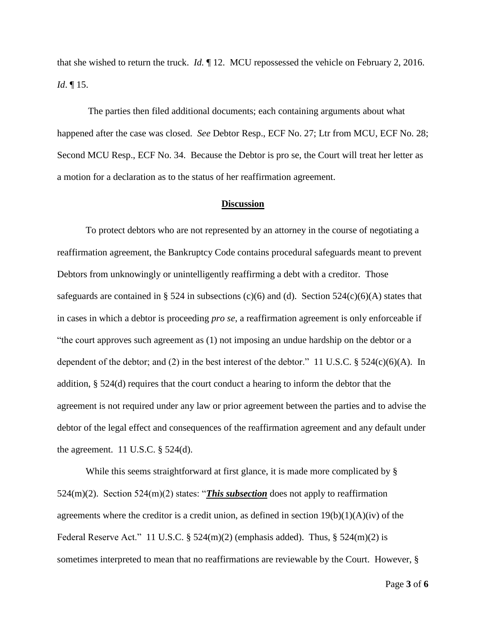that she wished to return the truck. *Id.* ¶ 12. MCU repossessed the vehicle on February 2, 2016. *Id*. ¶ 15.

The parties then filed additional documents; each containing arguments about what happened after the case was closed. *See* Debtor Resp., ECF No. 27; Ltr from MCU, ECF No. 28; Second MCU Resp., ECF No. 34. Because the Debtor is pro se, the Court will treat her letter as a motion for a declaration as to the status of her reaffirmation agreement.

#### **Discussion**

To protect debtors who are not represented by an attorney in the course of negotiating a reaffirmation agreement, the Bankruptcy Code contains procedural safeguards meant to prevent Debtors from unknowingly or unintelligently reaffirming a debt with a creditor. Those safeguards are contained in § 524 in subsections (c)(6) and (d). Section  $524(c)(6)(A)$  states that in cases in which a debtor is proceeding *pro se*, a reaffirmation agreement is only enforceable if "the court approves such agreement as (1) not imposing an undue hardship on the debtor or a dependent of the debtor; and (2) in the best interest of the debtor." 11 U.S.C.  $\S$  524(c)(6)(A). In addition, § 524(d) requires that the court conduct a hearing to inform the debtor that the agreement is not required under any law or prior agreement between the parties and to advise the debtor of the legal effect and consequences of the reaffirmation agreement and any default under the agreement. 11 U.S.C.  $\S$  524(d).

While this seems straightforward at first glance, it is made more complicated by § 524(m)(2). Section 524(m)(2) states: "*This subsection* does not apply to reaffirmation agreements where the creditor is a credit union, as defined in section  $19(b)(1)(A)(iv)$  of the Federal Reserve Act." 11 U.S.C.  $\S$  524(m)(2) (emphasis added). Thus,  $\S$  524(m)(2) is sometimes interpreted to mean that no reaffirmations are reviewable by the Court. However, §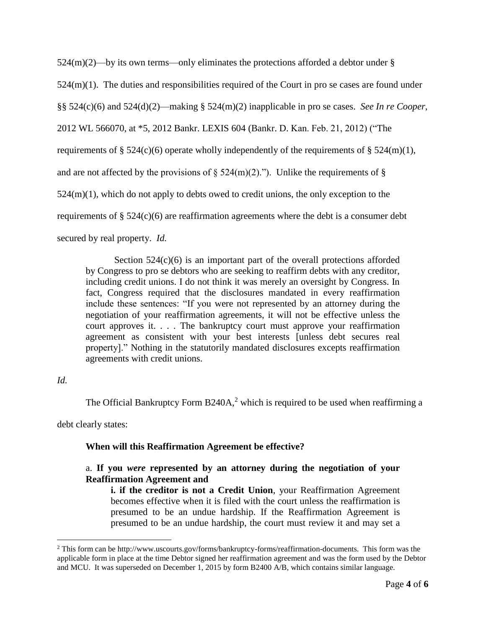$524(m)(2)$ —by its own terms—only eliminates the protections afforded a debtor under § 524(m)(1). The duties and responsibilities required of the Court in pro se cases are found under §§ 524(c)(6) and 524(d)(2)—making § 524(m)(2) inapplicable in pro se cases. *See In re Cooper*, 2012 WL 566070, at \*5, 2012 Bankr. LEXIS 604 (Bankr. D. Kan. Feb. 21, 2012) ("The requirements of § 524(c)(6) operate wholly independently of the requirements of § 524(m)(1), and are not affected by the provisions of  $\S$  524(m)(2)."). Unlike the requirements of  $\S$  $524(m)(1)$ , which do not apply to debts owed to credit unions, the only exception to the requirements of  $\S$  524(c)(6) are reaffirmation agreements where the debt is a consumer debt secured by real property. *Id.*

Section  $524(c)(6)$  is an important part of the overall protections afforded by Congress to pro se debtors who are seeking to reaffirm debts with any creditor, including credit unions. I do not think it was merely an oversight by Congress. In fact, Congress required that the disclosures mandated in every reaffirmation include these sentences: "If you were not represented by an attorney during the negotiation of your reaffirmation agreements, it will not be effective unless the court approves it. . . . The bankruptcy court must approve your reaffirmation agreement as consistent with your best interests [unless debt secures real property]." Nothing in the statutorily mandated disclosures excepts reaffirmation agreements with credit unions.

### *Id.*

 $\overline{a}$ 

The Official Bankruptcy Form  $B240A$ ,<sup>2</sup> which is required to be used when reaffirming a

debt clearly states:

### **When will this Reaffirmation Agreement be effective?**

## a. **If you** *were* **represented by an attorney during the negotiation of your Reaffirmation Agreement and**

**i. if the creditor is not a Credit Union**, your Reaffirmation Agreement becomes effective when it is filed with the court unless the reaffirmation is presumed to be an undue hardship. If the Reaffirmation Agreement is presumed to be an undue hardship, the court must review it and may set a

<sup>2</sup> This form can be http://www.uscourts.gov/forms/bankruptcy-forms/reaffirmation-documents. This form was the applicable form in place at the time Debtor signed her reaffirmation agreement and was the form used by the Debtor and MCU. It was superseded on December 1, 2015 by form B2400 A/B, which contains similar language.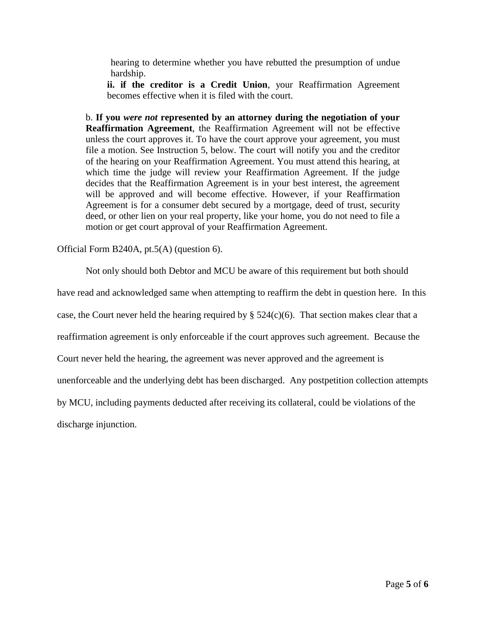hearing to determine whether you have rebutted the presumption of undue hardship.

**ii. if the creditor is a Credit Union**, your Reaffirmation Agreement becomes effective when it is filed with the court.

b. **If you** *were not* **represented by an attorney during the negotiation of your Reaffirmation Agreement**, the Reaffirmation Agreement will not be effective unless the court approves it. To have the court approve your agreement, you must file a motion. See Instruction 5, below. The court will notify you and the creditor of the hearing on your Reaffirmation Agreement. You must attend this hearing, at which time the judge will review your Reaffirmation Agreement. If the judge decides that the Reaffirmation Agreement is in your best interest, the agreement will be approved and will become effective. However, if your Reaffirmation Agreement is for a consumer debt secured by a mortgage, deed of trust, security deed, or other lien on your real property, like your home, you do not need to file a motion or get court approval of your Reaffirmation Agreement.

Official Form B240A, pt.5(A) (question 6).

Not only should both Debtor and MCU be aware of this requirement but both should

have read and acknowledged same when attempting to reaffirm the debt in question here. In this

case, the Court never held the hearing required by  $\S 524(c)(6)$ . That section makes clear that a

reaffirmation agreement is only enforceable if the court approves such agreement. Because the

Court never held the hearing, the agreement was never approved and the agreement is

unenforceable and the underlying debt has been discharged. Any postpetition collection attempts

by MCU, including payments deducted after receiving its collateral, could be violations of the

discharge injunction.